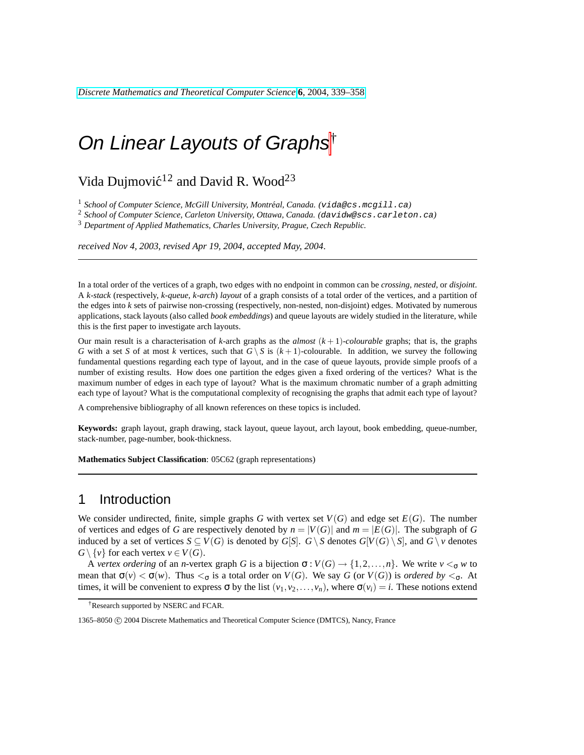## Vida Dujmović<sup>12</sup> and David R. Wood<sup>23</sup>

<sup>1</sup> School of Computer Science, McGill University, Montréal, Canada. (vida@cs.mcgill.ca)

<sup>2</sup> *School of Computer Science, Carleton University, Ottawa, Canada. (*davidw@scs.carleton.ca*)*

<sup>3</sup> *Department of Applied Mathematics, Charles University, Prague, Czech Republic.*

*received Nov 4, 2003*, *revised Apr 19, 2004*, *accepted May, 2004*.

In a total order of the vertices of a graph, two edges with no endpoint in common can be *crossing*, *nested*, or *disjoint*. A *k-stack* (respectively, *k-queue*, *k-arch*) *layout* of a graph consists of a total order of the vertices, and a partition of the edges into *k* sets of pairwise non-crossing (respectively, non-nested, non-disjoint) edges. Motivated by numerous applications, stack layouts (also called *book embeddings*) and queue layouts are widely studied in the literature, while this is the first paper to investigate arch layouts.

Our main result is a characterisation of  $k$ -arch graphs as the *almost*  $(k+1)$ *-colourable* graphs; that is, the graphs *G* with a set *S* of at most *k* vertices, such that  $G \ S$  is  $(k + 1)$ -colourable. In addition, we survey the following fundamental questions regarding each type of layout, and in the case of queue layouts, provide simple proofs of a number of existing results. How does one partition the edges given a fixed ordering of the vertices? What is the maximum number of edges in each type of layout? What is the maximum chromatic number of a graph admitting each type of layout? What is the computational complexity of recognising the graphs that admit each type of layout?

A comprehensive bibliography of all known references on these topics is included.

**Keywords:** graph layout, graph drawing, stack layout, queue layout, arch layout, book embedding, queue-number, stack-number, page-number, book-thickness.

**Mathematics Subject Classification**: 05C62 (graph representations)

### 1 Introduction

We consider undirected, finite, simple graphs *G* with vertex set  $V(G)$  and edge set  $E(G)$ . The number of vertices and edges of *G* are respectively denoted by  $n = |V(G)|$  and  $m = |E(G)|$ . The subgraph of *G* induced by a set of vertices *S* ⊂ *V*(*G*) is denoted by *G*[*S*]. *G* \ *S* denotes *G*[*V*(*G*) \ *S*], and *G* \ *v* denotes  $G \setminus \{v\}$  for each vertex  $v \in V(G)$ .

A *vertex ordering* of an *n*-vertex graph *G* is a bijection  $\sigma : V(G) \to \{1, 2, ..., n\}$ . We write  $v <_{\sigma} w$  to mean that  $\sigma(v) < \sigma(w)$ . Thus  $<_\sigma$  is a total order on  $V(G)$ . We say *G* (or  $V(G)$ ) is *ordered by*  $<_\sigma$ . At times, it will be convenient to express  $\sigma$  by the list  $(v_1, v_2, \ldots, v_n)$ , where  $\sigma(v_i) = i$ . These notions extend

<sup>†</sup>Research supported by NSERC and FCAR.

<sup>1365–8050</sup> C 2004 Discrete Mathematics and Theoretical Computer Science (DMTCS), Nancy, France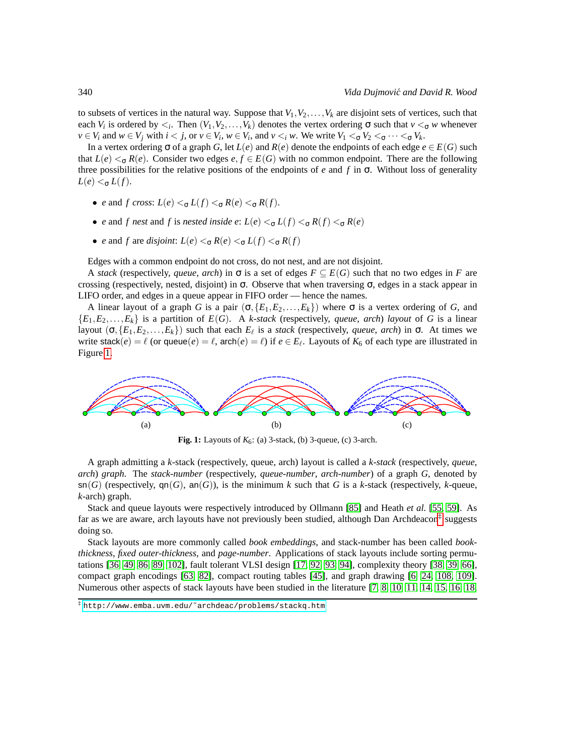to subsets of vertices in the natural way. Suppose that  $V_1, V_2, \ldots, V_k$  are disjoint sets of vertices, such that each *V<sub>i</sub>* is ordered by  $\lt_i$ . Then  $(V_1, V_2, \ldots, V_k)$  denotes the vertex ordering  $\sigma$  such that  $v \lt_{\sigma} w$  whenever  $v \in V_i$  and  $w \in V_j$  with  $i < j$ , or  $v \in V_i$ ,  $w \in V_i$ , and  $v <_i w$ . We write  $V_1 <_{\sigma} V_2 <_{\sigma} \cdots <_{\sigma} V_k$ .

In a vertex ordering  $\sigma$  of a graph *G*, let  $L(e)$  and  $R(e)$  denote the endpoints of each edge  $e \in E(G)$  such that  $L(e) <_{\sigma} R(e)$ . Consider two edges  $e, f \in E(G)$  with no common endpoint. There are the following three possibilities for the relative positions of the endpoints of *e* and *f* in σ. Without loss of generality  $L(e) <_{\sigma} L(f)$ .

- *e* and *f cross:*  $L(e) \leq \sigma L(f) \leq \sigma R(e) \leq \sigma R(f)$ .
- *e* and *f* nest and *f* is nested inside *e*:  $L(e) \leq \sigma L(f) \leq R(f) \leq \sigma R(e)$
- *e* and *f* are *disjoint*:  $L(e) <_{\sigma} R(e) <_{\sigma} L(f) <_{\sigma} R(f)$

Edges with a common endpoint do not cross, do not nest, and are not disjoint.

A *stack* (respectively, *queue*, *arch*) in  $\sigma$  is a set of edges  $F \subseteq E(G)$  such that no two edges in *F* are crossing (respectively, nested, disjoint) in σ. Observe that when traversing σ, edges in a stack appear in LIFO order, and edges in a queue appear in FIFO order — hence the names.

A linear layout of a graph *G* is a pair  $(\sigma, \{E_1, E_2, \ldots, E_k\})$  where  $\sigma$  is a vertex ordering of *G*, and  ${E_1, E_2, \ldots, E_k}$  is a partition of  $E(G)$ . A *k*-*stack* (respectively, *queue*, *arch*) *layout* of *G* is a linear layout  $(\sigma, \{E_1, E_2, \ldots, E_k\})$  such that each  $E_\ell$  is a *stack* (respectively, *queue*, *arch*) in  $\sigma$ . At times we write stack( $e$ ) =  $\ell$  (or queue( $e$ ) =  $\ell$ , arch( $e$ ) =  $\ell$ ) if  $e \in E_{\ell}$ . Layouts of  $K_6$  of each type are illustrated in Figure [1.](#page-1-0)



<span id="page-1-0"></span>**Fig. 1:** Layouts of  $K_6$ : (a) 3-stack, (b) 3-queue, (c) 3-arch.

A graph admitting a *k*-stack (respectively, queue, arch) layout is called a *k*-*stack* (respectively, *queue*, *arch*) *graph*. The *stack-number* (respectively, *queue-number*, *arch-number*) of a graph *G*, denoted by  $\mathsf{sn}(G)$  (respectively,  $\mathsf{qn}(G)$ , an $(G)$ ), is the minimum k such that G is a k-stack (respectively, k-queue, *k*-arch) graph.

Stack and queue layouts were respectively introduced by Ollmann [\[85\]](#page-17-0) and Heath *et al.* [\[55,](#page-15-0) [59\]](#page-15-1). As far as we are aware, arch layouts have not previously been studied, although Dan Archdeacon<sup>[‡](#page-1-1)</sup> suggests doing so.

Stack layouts are more commonly called *book embeddings*, and stack-number has been called *bookthickness*, *fixed outer-thickness*, and *page-number*. Applications of stack layouts include sorting permutations [\[36,](#page-14-0) [49,](#page-15-2) [86,](#page-17-1) [89,](#page-17-2) [102\]](#page-18-0), fault tolerant VLSI design [\[17,](#page-13-0) [92,](#page-17-3) [93,](#page-17-4) [94\]](#page-17-5), complexity theory [\[38,](#page-14-1) [39,](#page-14-2) [66\]](#page-16-0), compact graph encodings [\[63,](#page-15-3) [82\]](#page-16-1), compact routing tables [\[45\]](#page-14-3), and graph drawing [\[6,](#page-12-0) [24,](#page-13-1) [108,](#page-18-1) [109\]](#page-18-2). Numerous other aspects of stack layouts have been studied in the literature [\[7,](#page-12-1) [8,](#page-12-2) [10,](#page-12-3) [11,](#page-12-4) [14,](#page-12-5) [15,](#page-12-6) [16,](#page-13-2) [18,](#page-13-3)

<span id="page-1-1"></span><sup>‡</sup> [http://www.emba.uvm.edu/˜archdeac/problems/stackq.htm](http://www.emba.uvm.edu/~archdeac/problems/stackq.htm)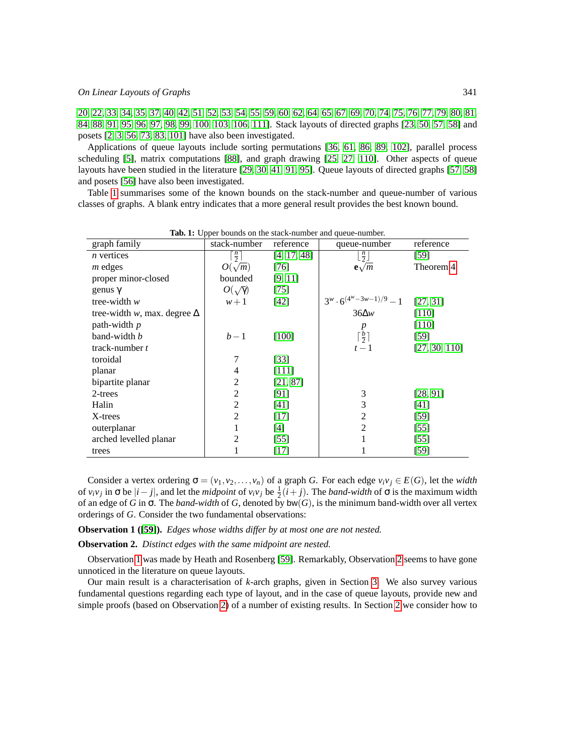[20,](#page-13-4) [22,](#page-13-5) [33,](#page-14-4) [34,](#page-14-5) [35,](#page-14-6) [37,](#page-14-7) [40,](#page-14-8) [42,](#page-14-9) [51,](#page-15-4) [52,](#page-15-5) [53,](#page-15-6) [54,](#page-15-7) [55,](#page-15-0) [59,](#page-15-1) [60,](#page-15-8) [62,](#page-15-9) [64,](#page-15-10) [65,](#page-16-2) [67,](#page-16-3) [69,](#page-16-4) [70,](#page-16-5) [74,](#page-16-6) [75,](#page-16-7) [76,](#page-16-8) [77,](#page-16-9) [79,](#page-16-10) [80,](#page-16-11) [81,](#page-16-12) [84,](#page-17-6) [88,](#page-17-7) [91,](#page-17-8) [95,](#page-17-9) [96,](#page-17-10) [97,](#page-17-11) [98,](#page-18-3) [99,](#page-18-4) [100,](#page-18-5) [103,](#page-18-6) [106,](#page-18-7) [111\]](#page-18-8). Stack layouts of directed graphs [\[23,](#page-13-6) [50,](#page-15-11) [57,](#page-15-12) [58\]](#page-15-13) and posets [\[2,](#page-12-7) [3,](#page-12-8) [56,](#page-15-14) [73,](#page-16-13) [83,](#page-17-12) [101\]](#page-18-9) have also been investigated.

Applications of queue layouts include sorting permutations [\[36,](#page-14-0) [61,](#page-15-15) [86,](#page-17-1) [89,](#page-17-2) [102\]](#page-18-0), parallel process scheduling [\[5\]](#page-12-9), matrix computations [\[88\]](#page-17-7), and graph drawing [\[25,](#page-13-7) [27,](#page-13-8) [110\]](#page-18-10). Other aspects of queue layouts have been studied in the literature [\[29,](#page-13-9) [30,](#page-13-10) [41,](#page-14-10) [91,](#page-17-8) [95\]](#page-17-9). Queue layouts of directed graphs [\[57,](#page-15-12) [58\]](#page-15-13) and posets [\[56\]](#page-15-14) have also been investigated.

Table [1](#page-2-0) summarises some of the known bounds on the stack-number and queue-number of various classes of graphs. A blank entry indicates that a more general result provides the best known bound.

| graph family                       | r r<br>stack-number | reference   | queue-number                     | reference     |
|------------------------------------|---------------------|-------------|----------------------------------|---------------|
| $n$ vertices                       | $\frac{n}{2}$       | [4, 17, 48] | $\lfloor \frac{n}{2} \rfloor$    | $[59]$        |
| $m$ edges                          | $O(\sqrt{m})$       | [76]        | $\mathbf{e}\sqrt{m}$             | Theorem 4     |
| proper minor-closed                | bounded             | [9, 11]     |                                  |               |
| genus $\gamma$                     | $O(\sqrt{\gamma})$  | $[75]$      |                                  |               |
| tree-width $w$                     | $w+1$               | $[42]$      | $3^w \cdot 6^{(4^w-3w-1)/9} - 1$ | [27, 31]      |
| tree-width w, max. degree $\Delta$ |                     |             | $36\Delta w$                     | [110]         |
| path-width $p$                     |                     |             | $\boldsymbol{p}$                 | $[110]$       |
| band-width b                       | $b-1$               | $[100]$     | $\lceil \frac{b}{2} \rceil$      | $[59]$        |
| track-number $t$                   |                     |             | $t-1$                            | [27, 30, 110] |
| toroidal                           | 7                   | $[33]$      |                                  |               |
| planar                             | 4                   | [111]       |                                  |               |
| bipartite planar                   | 2                   | [21, 87]    |                                  |               |
| 2-trees                            | 2                   | [91]        | 3                                | [28, 91]      |
| Halin                              | 2                   | $[41]$      | 3                                | $[41]$        |
| X-trees                            | 2                   | $[17]$      | 2                                | $[59]$        |
| outerplanar                        |                     | $[4]$       | $\overline{2}$                   | $[55]$        |
| arched levelled planar             | 2                   | $[55]$      |                                  | $[55]$        |
| trees                              |                     | $[17]$      |                                  | $[59]$        |

<span id="page-2-0"></span>**Tab. 1:** Upper bounds on the stack-number and queue-number.

Consider a vertex ordering  $\sigma = (v_1, v_2, \ldots, v_n)$  of a graph *G*. For each edge  $v_i v_j \in E(G)$ , let the *width* of  $v_i v_j$  in  $\sigma$  be  $|i - j|$ , and let the *midpoint* of  $v_i v_j$  be  $\frac{1}{2}(i + j)$ . The *band-width* of  $\sigma$  is the maximum width of an edge of *G* in σ. The *band-width* of *G*, denoted by bw(*G*), is the minimum band-width over all vertex orderings of *G*. Consider the two fundamental observations:

<span id="page-2-1"></span>**Observation 1 ([\[59\]](#page-15-1)).** *Edges whose widths differ by at most one are not nested.*

<span id="page-2-2"></span>**Observation 2.** *Distinct edges with the same midpoint are nested.*

Observation [1](#page-2-1) was made by Heath and Rosenberg [\[59\]](#page-15-1). Remarkably, Observation [2](#page-2-2) seems to have gone unnoticed in the literature on queue layouts.

Our main result is a characterisation of *k*-arch graphs, given in Section [3.](#page-5-0) We also survey various fundamental questions regarding each type of layout, and in the case of queue layouts, provide new and simple proofs (based on Observation [2\)](#page-2-2) of a number of existing results. In Section [2](#page-3-0) we consider how to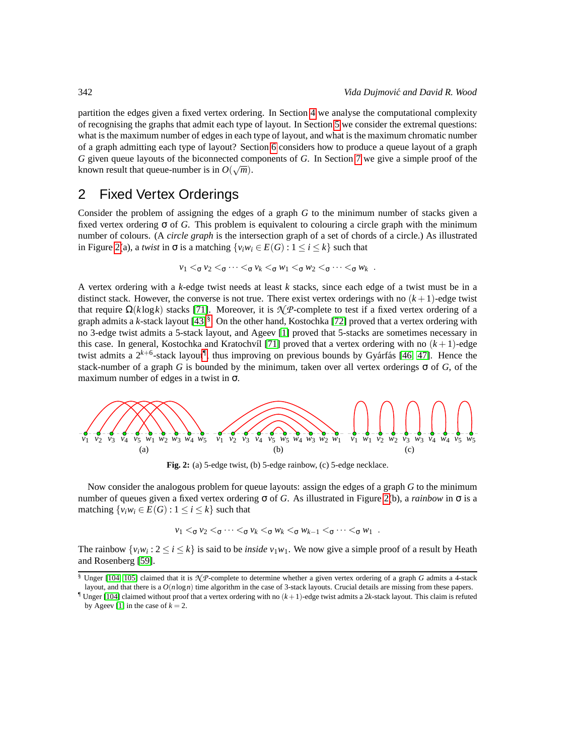partition the edges given a fixed vertex ordering. In Section [4](#page-6-0) we analyse the computational complexity of recognising the graphs that admit each type of layout. In Section [5](#page-7-0) we consider the extremal questions: what is the maximum number of edges in each type of layout, and what is the maximum chromatic number of a graph admitting each type of layout? Section [6](#page-9-0) considers how to produce a queue layout of a graph *G* given queue layouts of the biconnected components of *G*. In Section [7](#page-10-1) we give a simple proof of the known result that queue-number is in  $O(\sqrt{m})$ .

### <span id="page-3-0"></span>2 Fixed Vertex Orderings

Consider the problem of assigning the edges of a graph *G* to the minimum number of stacks given a fixed vertex ordering σ of *G*. This problem is equivalent to colouring a circle graph with the minimum number of colours. (A *circle graph* is the intersection graph of a set of chords of a circle.) As illustrated in Figure [2\(](#page-3-1)a), a *twist* in  $\sigma$  is a matching  $\{v_iw_i \in E(G) : 1 \le i \le k\}$  such that

$$
v_1 <_{\sigma} v_2 <_{\sigma} \cdots <_{\sigma} v_k <_{\sigma} w_1 <_{\sigma} w_2 <_{\sigma} \cdots <_{\sigma} w_k.
$$

A vertex ordering with a *k*-edge twist needs at least *k* stacks, since each edge of a twist must be in a distinct stack. However, the converse is not true. There exist vertex orderings with no  $(k+1)$ -edge twist that require  $\Omega(k \log k)$  stacks [\[71\]](#page-16-14). Moreover, it is  $\mathcal{N}P$ -complete to test if a fixed vertex ordering of a graph admits a *k*-stack layout [\[43\]](#page-14-12)[§](#page-3-2) . On the other hand, Kostochka [\[72\]](#page-16-15) proved that a vertex ordering with no 3-edge twist admits a 5-stack layout, and Ageev [\[1\]](#page-12-12) proved that 5-stacks are sometimes necessary in this case. In general, Kostochka and Kratochvíl [\[71\]](#page-16-14) proved that a vertex ordering with no  $(k + 1)$ -edge twist admits a 2<sup>k+6</sup>-stack layout<sup>[¶](#page-3-3)</sup>, thus improving on previous bounds by Gyárfás [\[46,](#page-14-13) [47\]](#page-14-14). Hence the stack-number of a graph *G* is bounded by the minimum, taken over all vertex orderings  $\sigma$  of *G*, of the maximum number of edges in a twist in  $\sigma$ .



<span id="page-3-1"></span>**Fig. 2:** (a) 5-edge twist, (b) 5-edge rainbow, (c) 5-edge necklace.

Now consider the analogous problem for queue layouts: assign the edges of a graph *G* to the minimum number of queues given a fixed vertex ordering σ of *G*. As illustrated in Figure [2\(](#page-3-1)b), a *rainbow* in σ is a matching  $\{v_i w_i \in E(G) : 1 \le i \le k\}$  such that

$$
v_1 <_{\sigma} v_2 <_{\sigma} \cdots <_{\sigma} v_k <_{\sigma} w_k <_{\sigma} w_{k-1} <_{\sigma} \cdots <_{\sigma} w_1.
$$

The rainbow  $\{v_iw_i : 2 \le i \le k\}$  is said to be *inside*  $v_1w_1$ . We now give a simple proof of a result by Heath and Rosenberg [\[59\]](#page-15-1).

<span id="page-3-4"></span><span id="page-3-2"></span><sup>§</sup> Unger [\[104,](#page-18-11) [105\]](#page-18-12) claimed that it is *N P*-complete to determine whether a given vertex ordering of a graph *G* admits a 4-stack layout, and that there is a  $O(n \log n)$  time algorithm in the case of 3-stack layouts. Crucial details are missing from these papers.

<span id="page-3-3"></span><sup>&</sup>lt;sup>1</sup> Unger [\[104\]](#page-18-11) claimed without proof that a vertex ordering with no  $(k+1)$ -edge twist admits a 2*k*-stack layout. This claim is refuted by Ageev [\[1\]](#page-12-12) in the case of  $k = 2$ .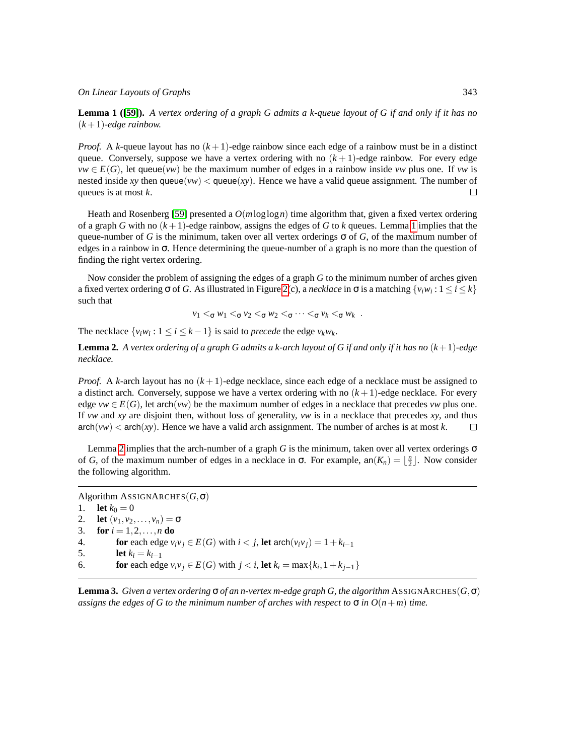**Lemma 1 ([\[59\]](#page-15-1)).** *A vertex ordering of a graph G admits a k-queue layout of G if and only if it has no*  $(k+1)$ *-edge rainbow.* 

*Proof.* A *k*-queue layout has no  $(k+1)$ -edge rainbow since each edge of a rainbow must be in a distinct queue. Conversely, suppose we have a vertex ordering with no  $(k+1)$ -edge rainbow. For every edge  $vw \in E(G)$ , let queue(*vw*) be the maximum number of edges in a rainbow inside *vw* plus one. If *vw* is nested inside *xy* then queue(*vw*)  $\lt$  queue(*xy*). Hence we have a valid queue assignment. The number of queues is at most *k*. П

Heath and Rosenberg [\[59\]](#page-15-1) presented a *O*(*m*loglog*n*) time algorithm that, given a fixed vertex ordering of a graph *G* with no (*k* +1)-edge rainbow, assigns the edges of *G* to *k* queues. Lemma [1](#page-3-4) implies that the queue-number of *G* is the minimum, taken over all vertex orderings  $\sigma$  of *G*, of the maximum number of edges in a rainbow in σ. Hence determining the queue-number of a graph is no more than the question of finding the right vertex ordering.

Now consider the problem of assigning the edges of a graph *G* to the minimum number of arches given a fixed vertex ordering  $\sigma$  of *G*. As illustrated in Figure [2\(](#page-3-1)c), a *necklace* in  $\sigma$  is a matching  $\{v_iw_i: 1 \le i \le k\}$ such that

$$
v_1 <_{\sigma} w_1 <_{\sigma} v_2 <_{\sigma} w_2 <_{\sigma} \cdots <_{\sigma} v_k <_{\sigma} w_k.
$$

The necklace  $\{v_i w_i : 1 \le i \le k - 1\}$  is said to *precede* the edge  $v_k w_k$ .

<span id="page-4-0"></span>**Lemma 2.** *A vertex ordering of a graph G admits a k-arch layout of G if and only if it has no* (*k*+1)*-edge necklace.*

*Proof.* A *k*-arch layout has no (*k* +1)-edge necklace, since each edge of a necklace must be assigned to a distinct arch. Conversely, suppose we have a vertex ordering with no  $(k+1)$ -edge necklace. For every edge  $vw \in E(G)$ , let arch(*vw*) be the maximum number of edges in a necklace that precedes *vw* plus one. If *vw* and *xy* are disjoint then, without loss of generality, *vw* is in a necklace that precedes *xy*, and thus  $\arch(vw) < \arch(xy)$ . Hence we have a valid arch assignment. The number of arches is at most *k*.  $\Box$ 

Lemma [2](#page-4-0) implies that the arch-number of a graph *G* is the minimum, taken over all vertex orderings  $\sigma$ of *G*, of the maximum number of edges in a necklace in  $\sigma$ . For example,  $an(K_n) = \lfloor \frac{n}{2} \rfloor$ . Now consider the following algorithm.

Algorithm ASSIGNARCHES(*G*,σ) 1. **let**  $k_0 = 0$ 2. **let**  $(v_1, v_2, \ldots, v_n) = \sigma$ 3. **for**  $i = 1, 2, ..., n$  **do** 4. **for** each edge  $v_i v_j \in E(G)$  with  $i < j$ , let  $\operatorname{arch}(v_i v_j) = 1 + k_{i-1}$ <br>5. let  $k_i = k_{i-1}$ 5. **let**  $k_i = k_{i-1}$ <br>6. **for** each edg 6. **for** each edge  $v_i v_j \in E(G)$  with  $j < i$ , let  $k_i = \max\{k_i, 1 + k_{j-1}\}\$ 

**Lemma 3.** *Given a vertex ordering*  $\sigma$  *of an n-vertex m-edge graph G, the algorithm* ASSIGNARCHES( $G$ ,σ) *assigns the edges of G to the minimum number of arches with respect to*  $\sigma$  *in*  $O(n+m)$  *time.*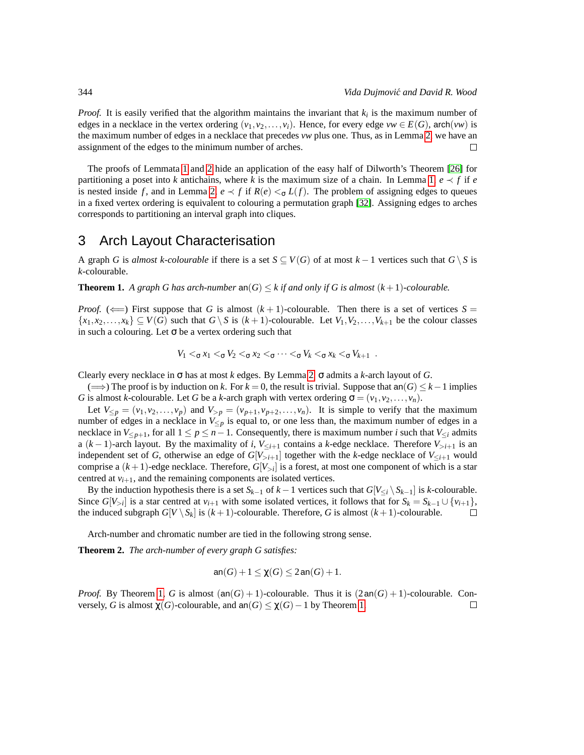*Proof.* It is easily verified that the algorithm maintains the invariant that  $k_i$  is the maximum number of edges in a necklace in the vertex ordering  $(v_1, v_2, \ldots, v_i)$ . Hence, for every edge  $vw \in E(G)$ , arch $(vw)$  is the maximum number of edges in a necklace that precedes *vw* plus one. Thus, as in Lemma [2,](#page-4-0) we have an assignment of the edges to the minimum number of arches.  $\Box$ 

The proofs of Lemmata [1](#page-3-4) and [2](#page-4-0) hide an application of the easy half of Dilworth's Theorem [\[26\]](#page-13-13) for partitioning a poset into *k* antichains, where *k* is the maximum size of a chain. In Lemma [1,](#page-3-4)  $e \prec f$  if  $e$ is nested inside f, and in Lemma [2,](#page-4-0)  $e \prec f$  if  $R(e) \prec_{\sigma} L(f)$ . The problem of assigning edges to queues in a fixed vertex ordering is equivalent to colouring a permutation graph [\[32\]](#page-14-15). Assigning edges to arches corresponds to partitioning an interval graph into cliques.

### <span id="page-5-0"></span>3 Arch Layout Characterisation

A graph *G* is *almost k-colourable* if there is a set  $S \subseteq V(G)$  of at most  $k-1$  vertices such that  $G \setminus S$  is *k*-colourable.

<span id="page-5-1"></span>**Theorem 1.** A graph G has arch-number  $\text{an}(G) \leq k$  if and only if G is almost  $(k+1)$ -colourable.

*Proof.* ( $\Longleftarrow$ ) First suppose that *G* is almost  $(k+1)$ -colourable. Then there is a set of vertices *S* =  $\{x_1, x_2, \ldots, x_k\} \subseteq V(G)$  such that  $G \setminus S$  is  $(k+1)$ -colourable. Let  $V_1, V_2, \ldots, V_{k+1}$  be the colour classes in such a colouring. Let  $\sigma$  be a vertex ordering such that

$$
V_1 <_{\sigma} x_1 <_{\sigma} V_2 <_{\sigma} x_2 <_{\sigma} \cdots <_{\sigma} V_k <_{\sigma} x_k <_{\sigma} V_{k+1} .
$$

Clearly every necklace in σ has at most *k* edges. By Lemma [2,](#page-4-0) σ admits a *k*-arch layout of *G*.

( $\implies$ ) The proof is by induction on *k*. For *k* = 0, the result is trivial. Suppose that an(*G*) ≤ *k* − 1 implies *G* is almost *k*-colourable. Let *G* be a *k*-arch graph with vertex ordering  $\sigma = (v_1, v_2, \dots, v_n)$ .

Let  $V_{\leq p} = (v_1, v_2, \dots, v_p)$  and  $V_{>p} = (v_{p+1}, v_{p+2}, \dots, v_n)$ . It is simple to verify that the maximum number of edges in a necklace in  $V_{\leq p}$  is equal to, or one less than, the maximum number of edges in a necklace in  $V_{\leq p+1}$ , for all  $1 \leq p \leq n-1$ . Consequently, there is maximum number *i* such that  $V_{\leq i}$  admits a  $(k-1)$ -arch layout. By the maximality of *i*,  $V_{\leq i+1}$  contains a *k*-edge necklace. Therefore  $V_{\geq i+1}$  is an independent set of *G*, otherwise an edge of  $G[V_{>i+1}]$  together with the *k*-edge necklace of  $V_{\leq i+1}$  would comprise a (*k*+1)-edge necklace. Therefore, *G*[*V*>*<sup>i</sup>* ] is a forest, at most one component of which is a star centred at  $v_{i+1}$ , and the remaining components are isolated vertices.

By the induction hypothesis there is a set  $S_{k-1}$  of  $k-1$  vertices such that  $G[V_{\leq i} \setminus S_{k-1}]$  is *k*-colourable. Since  $G[V_{>i}]$  is a star centred at  $v_{i+1}$  with some isolated vertices, it follows that for  $S_k = S_{k-1} \cup \{v_{i+1}\},$ the induced subgraph  $G[V \setminus S_k]$  is  $(k+1)$ -colourable. Therefore, G is almost  $(k+1)$ -colourable.

Arch-number and chromatic number are tied in the following strong sense.

<span id="page-5-2"></span>**Theorem 2.** *The arch-number of every graph G satisfies:*

$$
\operatorname{an}(G)+1\leq \chi(G)\leq 2\operatorname{an}(G)+1.
$$

*Proof.* By Theorem [1,](#page-5-1) *G* is almost  $(an(G) + 1)$ -colourable. Thus it is  $(2an(G) + 1)$ -colourable. Conversely, *G* is almost  $\chi(G)$ -colourable, and  $an(G) \leq \chi(G) - 1$  by Theorem [1.](#page-5-1)  $\Box$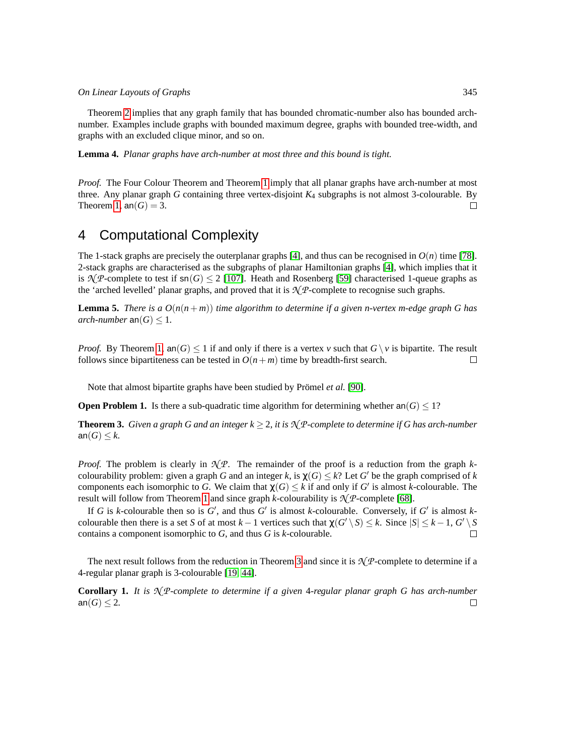Theorem [2](#page-5-2) implies that any graph family that has bounded chromatic-number also has bounded archnumber. Examples include graphs with bounded maximum degree, graphs with bounded tree-width, and graphs with an excluded clique minor, and so on.

**Lemma 4.** *Planar graphs have arch-number at most three and this bound is tight.*

*Proof.* The Four Colour Theorem and Theorem [1](#page-5-1) imply that all planar graphs have arch-number at most three. Any planar graph *G* containing three vertex-disjoint *K*<sup>4</sup> subgraphs is not almost 3-colourable. By Theorem [1,](#page-5-1)  $an(G) = 3$ .  $\Box$ 

### <span id="page-6-0"></span>4 Computational Complexity

The 1-stack graphs are precisely the outerplanar graphs [\[4\]](#page-12-10), and thus can be recognised in  $O(n)$  time [\[78\]](#page-16-16). 2-stack graphs are characterised as the subgraphs of planar Hamiltonian graphs [\[4\]](#page-12-10), which implies that it is  $\mathcal{N}(P\text{-complete to test if } \mathsf{sn}(G) \leq 2$  [\[107\]](#page-18-13). Heath and Rosenberg [\[59\]](#page-15-1) characterised 1-queue graphs as the 'arched levelled' planar graphs, and proved that it is *N P*-complete to recognise such graphs.

**Lemma 5.** *There is a*  $O(n(n+m))$  *time algorithm to determine if a given n-vertex m-edge graph G has arch-number*  $an(G) \leq 1$ .

*Proof.* By Theorem [1,](#page-5-1) an(*G*)  $\leq$  1 if and only if there is a vertex *v* such that *G* \ *v* is bipartite. The result follows since bipartiteness can be tested in  $O(n+m)$  time by breadth-first search. follows since bipartiteness can be tested in  $O(n+m)$  time by breadth-first search.

Note that almost bipartite graphs have been studied by Prömel et al. [\[90\]](#page-17-14).

**Open Problem 1.** Is there a sub-quadratic time algorithm for determining whether an( $G$ ) < 1?

<span id="page-6-1"></span>**Theorem 3.** *Given a graph G and an integer*  $k \geq 2$ *, it is*  $\mathcal{N}$ *P-complete to determine if G has arch-number* an $(G) \leq k$ .

*Proof.* The problem is clearly in *N P*. The remainder of the proof is a reduction from the graph *k*colourability problem: given a graph *G* and an integer *k*, is  $\chi(G) \leq k$ ? Let *G*<sup> $\prime$ </sup> be the graph comprised of *k* components each isomorphic to *G*. We claim that  $\chi(G) \leq k$  if and only if *G*' is almost *k*-colourable. The result will follow from Theorem [1](#page-5-1) and since graph *k*-colourability is  $\mathcal{N}$ *P*-complete [\[68\]](#page-16-17).

If *G* is *k*-colourable then so is  $G'$ , and thus  $G'$  is almost *k*-colourable. Conversely, if  $G'$  is almost  $k$ colourable then there is a set *S* of at most  $k-1$  vertices such that  $\chi(G' \setminus S) \leq k$ . Since  $|S| \leq k-1$ ,  $G' \setminus S$ contains a component isomorphic to *G*, and thus *G* is *k*-colourable.

The next result follows from the reduction in Theorem [3](#page-6-1) and since it is *N P*-complete to determine if a 4-regular planar graph is 3-colourable [\[19,](#page-13-14) [44\]](#page-14-16).

**Corollary 1.** *It is N P-complete to determine if a given* 4*-regular planar graph G has arch-number* an( $G$ )  $\leq$  2.  $\Box$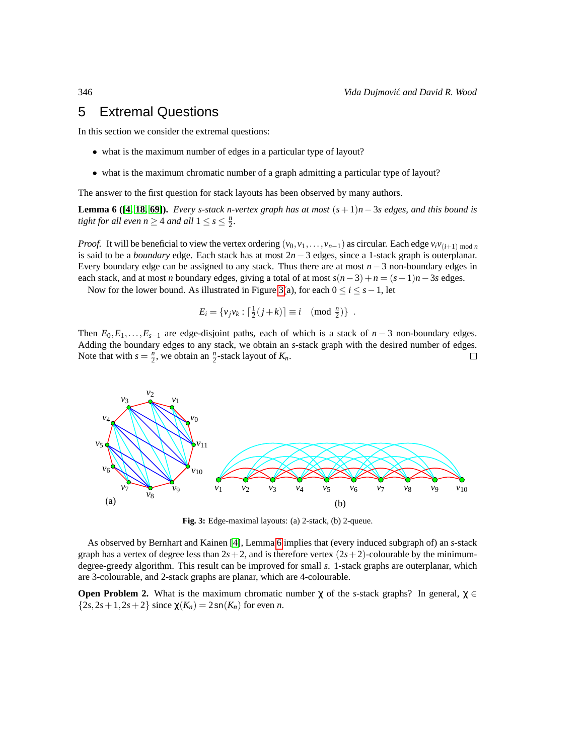### <span id="page-7-0"></span>5 Extremal Questions

In this section we consider the extremal questions:

- what is the maximum number of edges in a particular type of layout?
- what is the maximum chromatic number of a graph admitting a particular type of layout?

The answer to the first question for stack layouts has been observed by many authors.

<span id="page-7-2"></span>**Lemma 6 ([\[4,](#page-12-10) [18,](#page-13-3) [69\]](#page-16-4)).** *Every s-stack n-vertex graph has at most*  $(s + 1)n - 3s$  *edges, and this bound is tight for all even n*  $\geq$  4 *and all*  $1 \leq s \leq \frac{n}{2}$ .

*Proof.* It will be beneficial to view the vertex ordering  $(v_0, v_1, \ldots, v_{n-1})$  as circular. Each edge  $v_i v_{(i+1) \mod n}$ is said to be a *boundary* edge. Each stack has at most 2*n*−3 edges, since a 1-stack graph is outerplanar. Every boundary edge can be assigned to any stack. Thus there are at most *n*−3 non-boundary edges in each stack, and at most *n* boundary edges, giving a total of at most  $s(n-3) + n = (s+1)n - 3s$  edges.

Now for the lower bound. As illustrated in Figure [3\(](#page-7-1)a), for each  $0 \le i \le s-1$ , let

$$
E_i = \{v_j v_k : \lceil \frac{1}{2}(j+k) \rceil \equiv i \pmod{\frac{n}{2}}\}.
$$

Then  $E_0, E_1, \ldots, E_{s-1}$  are edge-disjoint paths, each of which is a stack of  $n-3$  non-boundary edges. Adding the boundary edges to any stack, we obtain an *s*-stack graph with the desired number of edges. Note that with  $s = \frac{n}{2}$ , we obtain an  $\frac{n}{2}$ -stack layout of  $K_n$ .  $\Box$ 



<span id="page-7-1"></span>**Fig. 3:** Edge-maximal layouts: (a) 2-stack, (b) 2-queue.

As observed by Bernhart and Kainen [\[4\]](#page-12-10), Lemma [6](#page-7-2) implies that (every induced subgraph of) an *s*-stack graph has a vertex of degree less than  $2s+2$ , and is therefore vertex  $(2s+2)$ -colourable by the minimumdegree-greedy algorithm. This result can be improved for small *s*. 1-stack graphs are outerplanar, which are 3-colourable, and 2-stack graphs are planar, which are 4-colourable.

**Open Problem 2.** What is the maximum chromatic number  $\chi$  of the *s*-stack graphs? In general,  $\chi \in$  ${2s, 2s+1, 2s+2}$  since  $\chi(K_n) = 2\operatorname{sn}(K_n)$  for even *n*.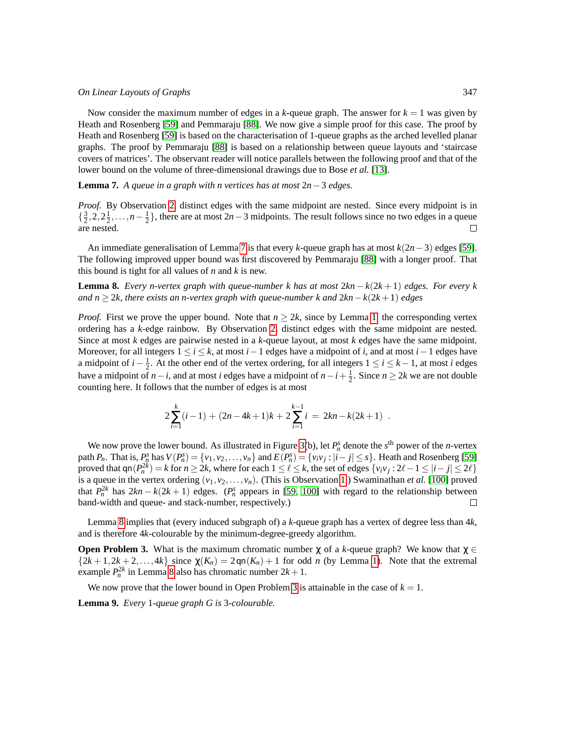Now consider the maximum number of edges in a  $k$ -queue graph. The answer for  $k = 1$  was given by Heath and Rosenberg [\[59\]](#page-15-1) and Pemmaraju [\[88\]](#page-17-7). We now give a simple proof for this case. The proof by Heath and Rosenberg [\[59\]](#page-15-1) is based on the characterisation of 1-queue graphs as the arched levelled planar graphs. The proof by Pemmaraju [\[88\]](#page-17-7) is based on a relationship between queue layouts and 'staircase covers of matrices'. The observant reader will notice parallels between the following proof and that of the lower bound on the volume of three-dimensional drawings due to Bose *et al.* [\[13\]](#page-12-13).

<span id="page-8-0"></span>**Lemma 7.** *A queue in a graph with n vertices has at most* 2*n*−3 *edges.*

*Proof.* By Observation [2,](#page-2-2) distinct edges with the same midpoint are nested. Since every midpoint is in  $\{\frac{3}{2}, 2, 2\frac{1}{2}, \ldots, n-\frac{1}{2}\}$ , there are at most 2*n*−3 midpoints. The result follows since no two edges in a queue are nested.

An immediate generalisation of Lemma [7](#page-8-0) is that every *k*-queue graph has at most *k*(2*n*−3) edges [\[59\]](#page-15-1). The following improved upper bound was first discovered by Pemmaraju [\[88\]](#page-17-7) with a longer proof. That this bound is tight for all values of *n* and *k* is new.

<span id="page-8-1"></span>**Lemma 8.** *Every n-vertex graph with queue-number k has at most* 2*kn* − *k*(2*k* + 1) *edges. For every k and n* ≥ 2*k, there exists an n-vertex graph with queue-number k and* 2*kn*−*k*(2*k* +1) *edges*

*Proof.* First we prove the upper bound. Note that  $n \geq 2k$ , since by Lemma [1,](#page-3-4) the corresponding vertex ordering has a *k*-edge rainbow. By Observation [2,](#page-2-2) distinct edges with the same midpoint are nested. Since at most *k* edges are pairwise nested in a *k*-queue layout, at most *k* edges have the same midpoint. Moreover, for all integers  $1 \le i \le k$ , at most  $i-1$  edges have a midpoint of *i*, and at most  $i-1$  edges have a midpoint of *i* −  $\frac{1}{2}$ . At the other end of the vertex ordering, for all integers  $1 \le i \le k - 1$ , at most *i* edges have a midpoint of *n*−*i*, and at most *i* edges have a midpoint of  $n-i+\frac{1}{2}$ . Since  $n \ge 2k$  we are not double counting here. It follows that the number of edges is at most

$$
2\sum_{i=1}^k(i-1) + (2n-4k+1)k + 2\sum_{i=1}^{k-1}i = 2kn - k(2k+1).
$$

We now prove the lower bound. As illustrated in Figure [3\(](#page-7-1)b), let  $P_n^s$  denote the  $s^{\text{th}}$  power of the *n*-vertex path  $P_n$ . That is,  $P_n^s$  has  $V(P_n^s) = \{v_1, v_2, \dots, v_n\}$  and  $E(P_n^s) = \{v_i v_j : |i - j| \le s\}$ . Heath and Rosenberg [\[59\]](#page-15-1) proved that  $qn(P_n^{2k}) = k$  for  $n \ge 2k$ , where for each  $1 \le \ell \le k$ , the set of edges  $\{v_i v_j : 2\ell - 1 \le |i - j| \le 2\ell\}$ is a queue in the vertex ordering  $(v_1, v_2, \ldots, v_n)$ . (This is Observation [1.](#page-2-1)) Swaminathan *et al.* [\[100\]](#page-18-5) proved that  $P_n^{2k}$  has  $2kn - k(2k+1)$  edges. ( $P_n^s$  appears in [\[59,](#page-15-1) [100\]](#page-18-5) with regard to the relationship between band-width and queue- and stack-number, respectively.)  $\Box$ 

Lemma [8](#page-8-1) implies that (every induced subgraph of) a *k*-queue graph has a vertex of degree less than 4*k*, and is therefore 4*k*-colourable by the minimum-degree-greedy algorithm.

<span id="page-8-2"></span>**Open Problem 3.** What is the maximum chromatic number  $\chi$  of a *k*-queue graph? We know that  $\chi \in$  ${2k+1,2k+2,...,4k}$  since  $\chi(K_n) = 2\varphi(n) + 1$  for odd *n* (by Lemma [1\)](#page-3-4). Note that the extremal example  $P_n^{2k}$  in Lemma [8](#page-8-1) also has chromatic number  $2k + 1$ .

We now prove that the lower bound in Open Problem [3](#page-8-2) is attainable in the case of  $k = 1$ .

**Lemma 9.** *Every* 1*-queue graph G is* 3*-colourable.*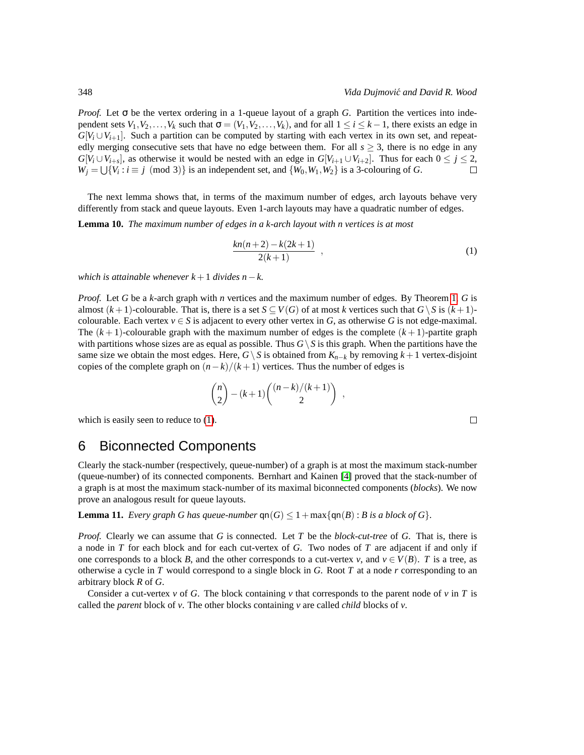*Proof.* Let σ be the vertex ordering in a 1-queue layout of a graph *G*. Partition the vertices into independent sets  $V_1, V_2, \ldots, V_k$  such that  $\sigma = (V_1, V_2, \ldots, V_k)$ , and for all  $1 \le i \le k - 1$ , there exists an edge in  $G[V_i \cup V_{i+1}]$ . Such a partition can be computed by starting with each vertex in its own set, and repeatedly merging consecutive sets that have no edge between them. For all  $s \geq 3$ , there is no edge in any  $G[V_i \cup V_{i+s}]$ , as otherwise it would be nested with an edge in  $G[V_{i+1} \cup V_{i+2}]$ . Thus for each  $0 \leq j \leq 2$ ,  $W_j = \bigcup \{V_i : i \equiv j \pmod{3}\}$  is an independent set, and  $\{W_0, W_1, W_2\}$  is a 3-colouring of *G*.

The next lemma shows that, in terms of the maximum number of edges, arch layouts behave very differently from stack and queue layouts. Even 1-arch layouts may have a quadratic number of edges.

**Lemma 10.** *The maximum number of edges in a k-arch layout with n vertices is at most*

<span id="page-9-1"></span>
$$
\frac{kn(n+2) - k(2k+1)}{2(k+1)} \t{,}
$$
 (1)

*which is attainable whenever*  $k + 1$  *divides n*− $k$ .

*Proof.* Let *G* be a *k*-arch graph with *n* vertices and the maximum number of edges. By Theorem [1,](#page-5-1) *G* is almost  $(k+1)$ -colourable. That is, there is a set  $S \subseteq V(G)$  of at most *k* vertices such that  $G \setminus S$  is  $(k+1)$ colourable. Each vertex  $v \in S$  is adjacent to every other vertex in *G*, as otherwise *G* is not edge-maximal. The  $(k+1)$ -colourable graph with the maximum number of edges is the complete  $(k+1)$ -partite graph with partitions whose sizes are as equal as possible. Thus  $G \setminus S$  is this graph. When the partitions have the same size we obtain the most edges. Here,  $G\setminus S$  is obtained from  $K_{n-k}$  by removing  $k+1$  vertex-disjoint copies of the complete graph on  $(n-k)/(k+1)$  vertices. Thus the number of edges is

$$
\binom{n}{2} - (k+1) \binom{(n-k)/(k+1)}{2} ,
$$

which is easily seen to reduce to  $(1)$ .

#### <span id="page-9-0"></span>6 Biconnected Components

Clearly the stack-number (respectively, queue-number) of a graph is at most the maximum stack-number (queue-number) of its connected components. Bernhart and Kainen [\[4\]](#page-12-10) proved that the stack-number of a graph is at most the maximum stack-number of its maximal biconnected components (*blocks*). We now prove an analogous result for queue layouts.

**Lemma 11.** *Every graph G has queue-number*  $\text{qn}(G) \leq 1 + \max\{\text{qn}(B): B \text{ is a block of } G\}.$ 

*Proof.* Clearly we can assume that *G* is connected. Let *T* be the *block-cut-tree* of *G*. That is, there is a node in *T* for each block and for each cut-vertex of *G*. Two nodes of *T* are adjacent if and only if one corresponds to a block *B*, and the other corresponds to a cut-vertex *v*, and  $v \in V(B)$ . *T* is a tree, as otherwise a cycle in *T* would correspond to a single block in *G*. Root *T* at a node *r* corresponding to an arbitrary block *R* of *G*.

Consider a cut-vertex  $\nu$  of *G*. The block containing  $\nu$  that corresponds to the parent node of  $\nu$  in *T* is called the *parent* block of *v*. The other blocks containing *v* are called *child* blocks of *v*.

 $\Box$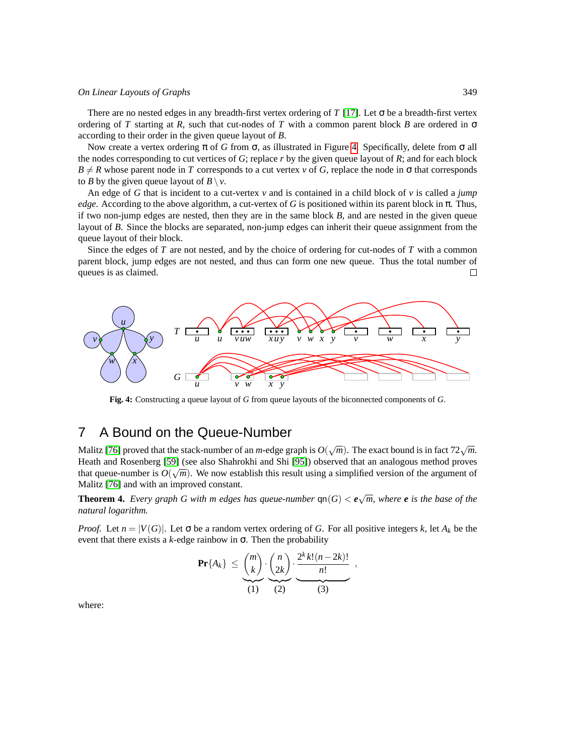There are no nested edges in any breadth-first vertex ordering of *T* [\[17\]](#page-13-0). Let  $\sigma$  be a breadth-first vertex ordering of *T* starting at *R*, such that cut-nodes of *T* with a common parent block *B* are ordered in  $\sigma$ according to their order in the given queue layout of *B*.

Now create a vertex ordering π of *G* from σ, as illustrated in Figure [4.](#page-10-2) Specifically, delete from σ all the nodes corresponding to cut vertices of *G*; replace *r* by the given queue layout of *R*; and for each block  $B \neq R$  whose parent node in *T* corresponds to a cut vertex *v* of *G*, replace the node in  $\sigma$  that corresponds to *B* by the given queue layout of  $B \setminus v$ .

An edge of *G* that is incident to a cut-vertex *v* and is contained in a child block of *v* is called a *jump edge*. According to the above algorithm, a cut-vertex of *G* is positioned within its parent block in  $\pi$ . Thus, if two non-jump edges are nested, then they are in the same block *B*, and are nested in the given queue layout of *B*. Since the blocks are separated, non-jump edges can inherit their queue assignment from the queue layout of their block.

Since the edges of *T* are not nested, and by the choice of ordering for cut-nodes of *T* with a common parent block, jump edges are not nested, and thus can form one new queue. Thus the total number of queues is as claimed.  $\Box$ 



<span id="page-10-2"></span>**Fig. 4:** Constructing a queue layout of *G* from queue layouts of the biconnected components of *G*.

### <span id="page-10-1"></span>7 A Bound on the Queue-Number

Malitz [\[76\]](#page-16-8) proved that the stack-number of an *m*-edge graph is  $O(\sqrt{m})$ . The exact bound is in fact 72 $\sqrt{m}$ . Heath and Rosenberg [\[59\]](#page-15-1) (see also Shahrokhi and Shi [\[95\]](#page-17-9)) observed that an analogous method proves that queue-number is  $O(\sqrt{m})$ . We now establish this result using a simplified version of the argument of Malitz [\[76\]](#page-16-8) and with an improved constant.

<span id="page-10-0"></span>**Theorem 4.** *Every graph G with m edges has queue-number*  $\text{qn}(G) < e\sqrt{m}$ , where **e** is the base of the *natural logarithm.*

*Proof.* Let  $n = |V(G)|$ . Let  $\sigma$  be a random vertex ordering of *G*. For all positive integers *k*, let  $A_k$  be the event that there exists a  $k$ -edge rainbow in  $\sigma$ . Then the probability

$$
\mathbf{Pr}\{A_k\} \leq {m \choose k} \cdot {n \choose 2k} \cdot \frac{2^k k! (n-2k)!}{n!},
$$
  
(1) (2) (3)

where: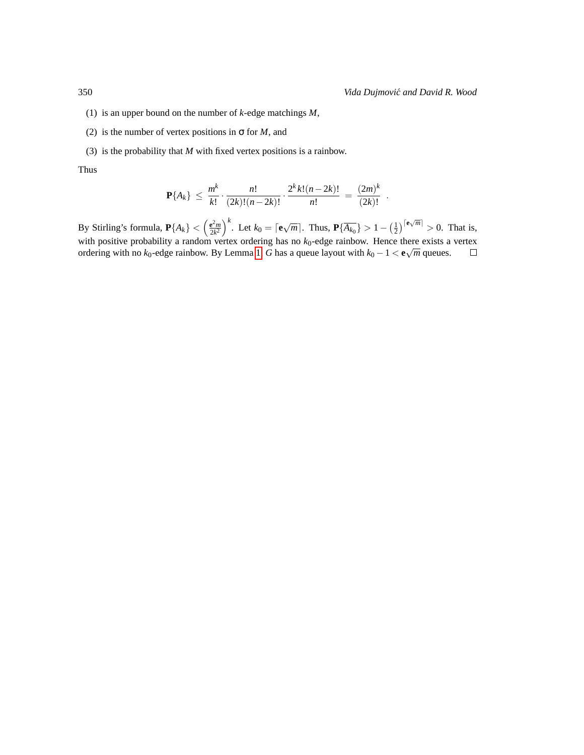- (1) is an upper bound on the number of *k*-edge matchings *M*,
- (2) is the number of vertex positions in  $\sigma$  for *M*, and
- (3) is the probability that *M* with fixed vertex positions is a rainbow.

Thus

$$
\mathbf{P}\{A_k\} \leq \frac{m^k}{k!} \cdot \frac{n!}{(2k)!(n-2k)!} \cdot \frac{2^k k!(n-2k)!}{n!} = \frac{(2m)^k}{(2k)!}.
$$

By Stirling's formula,  $\mathbf{P}\{A_k\} < \left(\frac{\mathrm{e}^2 m}{2k^2}\right)$  $\frac{e^{2}m}{2k^2}\right)^k$ . Let  $k_0 = \lceil e\sqrt{m} \rceil$ . Thus,  $\mathbf{P}\{\overline{A_{k_0}}\} > 1 - \left(\frac{1}{2}\right)^{\lceil e\sqrt{m} \rceil} > 0$ . That is, with positive probability a random vertex ordering has no  $k_0$ -edge rainbow. Hence there exists a vertex ordering with no  $k_0$ -edge rainbow. By Lemma [1,](#page-3-4) *G* has a queue layout with  $k_0 - 1 < e\sqrt{m}$  queues.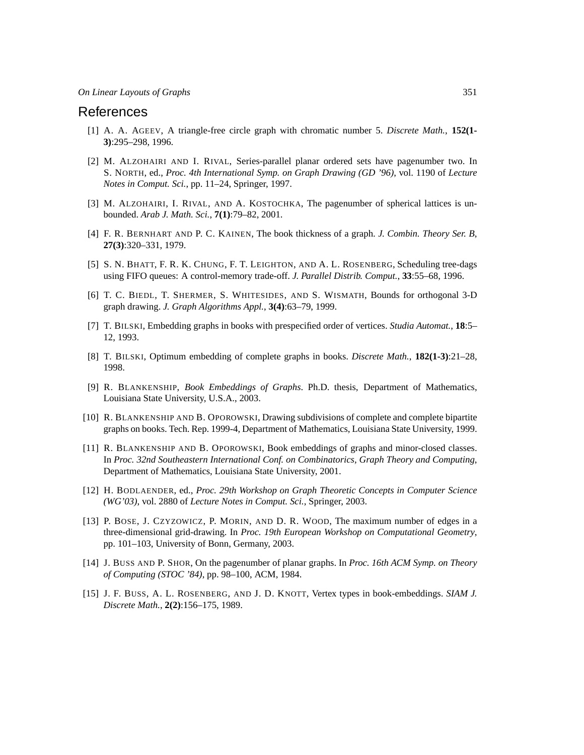#### References

- <span id="page-12-12"></span>[1] A. A. AGEEV, A triangle-free circle graph with chromatic number 5. *Discrete Math.*, **152(1- 3)**:295–298, 1996.
- <span id="page-12-7"></span>[2] M. ALZOHAIRI AND I. RIVAL, Series-parallel planar ordered sets have pagenumber two. In S. NORTH, ed., *Proc. 4th International Symp. on Graph Drawing (GD '96)*, vol. 1190 of *Lecture Notes in Comput. Sci.*, pp. 11–24, Springer, 1997.
- <span id="page-12-8"></span>[3] M. ALZOHAIRI, I. RIVAL, AND A. KOSTOCHKA, The pagenumber of spherical lattices is unbounded. *Arab J. Math. Sci.*, **7(1)**:79–82, 2001.
- <span id="page-12-10"></span>[4] F. R. BERNHART AND P. C. KAINEN, The book thickness of a graph. *J. Combin. Theory Ser. B*, **27(3)**:320–331, 1979.
- <span id="page-12-9"></span>[5] S. N. BHATT, F. R. K. CHUNG, F. T. LEIGHTON, AND A. L. ROSENBERG, Scheduling tree-dags using FIFO queues: A control-memory trade-off. *J. Parallel Distrib. Comput.*, **33**:55–68, 1996.
- <span id="page-12-0"></span>[6] T. C. BIEDL, T. SHERMER, S. WHITESIDES, AND S. WISMATH, Bounds for orthogonal 3-D graph drawing. *J. Graph Algorithms Appl.*, **3(4)**:63–79, 1999.
- <span id="page-12-1"></span>[7] T. BILSKI, Embedding graphs in books with prespecified order of vertices. *Studia Automat.*, **18**:5– 12, 1993.
- <span id="page-12-2"></span>[8] T. BILSKI, Optimum embedding of complete graphs in books. *Discrete Math.*, **182(1-3)**:21–28, 1998.
- <span id="page-12-11"></span>[9] R. BLANKENSHIP, *Book Embeddings of Graphs*. Ph.D. thesis, Department of Mathematics, Louisiana State University, U.S.A., 2003.
- <span id="page-12-3"></span>[10] R. BLANKENSHIP AND B. OPOROWSKI, Drawing subdivisions of complete and complete bipartite graphs on books. Tech. Rep. 1999-4, Department of Mathematics, Louisiana State University, 1999.
- <span id="page-12-4"></span>[11] R. BLANKENSHIP AND B. OPOROWSKI, Book embeddings of graphs and minor-closed classes. In *Proc. 32nd Southeastern International Conf. on Combinatorics, Graph Theory and Computing*, Department of Mathematics, Louisiana State University, 2001.
- <span id="page-12-14"></span>[12] H. BODLAENDER, ed., *Proc. 29th Workshop on Graph Theoretic Concepts in Computer Science (WG'03)*, vol. 2880 of *Lecture Notes in Comput. Sci.*, Springer, 2003.
- <span id="page-12-13"></span>[13] P. BOSE, J. CZYZOWICZ, P. MORIN, AND D. R. WOOD, The maximum number of edges in a three-dimensional grid-drawing. In *Proc. 19th European Workshop on Computational Geometry*, pp. 101–103, University of Bonn, Germany, 2003.
- <span id="page-12-5"></span>[14] J. BUSS AND P. SHOR, On the pagenumber of planar graphs. In *Proc. 16th ACM Symp. on Theory of Computing (STOC '84)*, pp. 98–100, ACM, 1984.
- <span id="page-12-6"></span>[15] J. F. BUSS, A. L. ROSENBERG, AND J. D. KNOTT, Vertex types in book-embeddings. *SIAM J. Discrete Math.*, **2(2)**:156–175, 1989.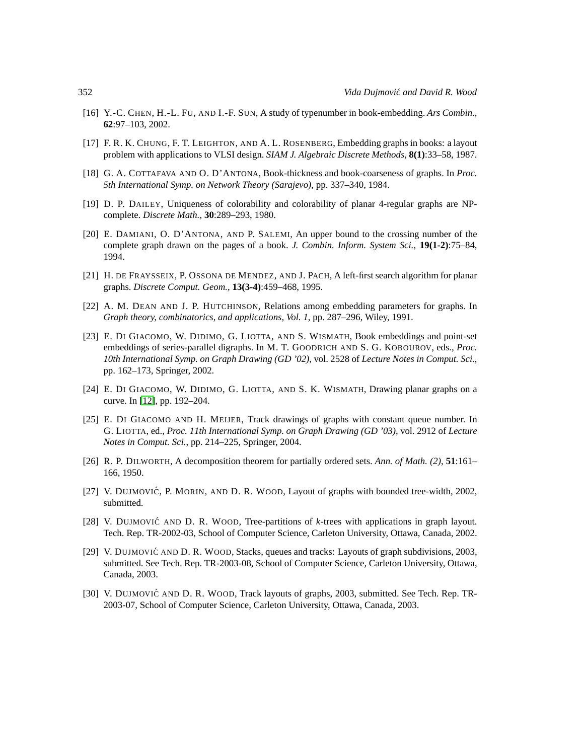- <span id="page-13-2"></span>[16] Y.-C. CHEN, H.-L. FU, AND I.-F. SUN, A study of typenumber in book-embedding. *Ars Combin.*, **62**:97–103, 2002.
- <span id="page-13-0"></span>[17] F. R. K. CHUNG, F. T. LEIGHTON, AND A. L. ROSENBERG, Embedding graphs in books: a layout problem with applications to VLSI design. *SIAM J. Algebraic Discrete Methods*, **8(1)**:33–58, 1987.
- <span id="page-13-3"></span>[18] G. A. COTTAFAVA AND O. D'ANTONA, Book-thickness and book-coarseness of graphs. In *Proc. 5th International Symp. on Network Theory (Sarajevo)*, pp. 337–340, 1984.
- <span id="page-13-14"></span>[19] D. P. DAILEY, Uniqueness of colorability and colorability of planar 4-regular graphs are NPcomplete. *Discrete Math.*, **30**:289–293, 1980.
- <span id="page-13-4"></span>[20] E. DAMIANI, O. D'ANTONA, AND P. SALEMI, An upper bound to the crossing number of the complete graph drawn on the pages of a book. *J. Combin. Inform. System Sci.*, **19(1-2)**:75–84, 1994.
- <span id="page-13-11"></span>[21] H. DE FRAYSSEIX, P. OSSONA DE MENDEZ, AND J. PACH, A left-first search algorithm for planar graphs. *Discrete Comput. Geom.*, **13(3-4)**:459–468, 1995.
- <span id="page-13-5"></span>[22] A. M. DEAN AND J. P. HUTCHINSON, Relations among embedding parameters for graphs. In *Graph theory, combinatorics, and applications, Vol. 1*, pp. 287–296, Wiley, 1991.
- <span id="page-13-6"></span>[23] E. DI GIACOMO, W. DIDIMO, G. LIOTTA, AND S. WISMATH, Book embeddings and point-set embeddings of series-parallel digraphs. In M. T. GOODRICH AND S. G. KOBOUROV, eds., *Proc. 10th International Symp. on Graph Drawing (GD '02)*, vol. 2528 of *Lecture Notes in Comput. Sci.*, pp. 162–173, Springer, 2002.
- <span id="page-13-1"></span>[24] E. DI GIACOMO, W. DIDIMO, G. LIOTTA, AND S. K. WISMATH, Drawing planar graphs on a curve. In [\[12\]](#page-12-14), pp. 192–204.
- <span id="page-13-7"></span>[25] E. DI GIACOMO AND H. MEIJER, Track drawings of graphs with constant queue number. In G. LIOTTA, ed., *Proc. 11th International Symp. on Graph Drawing (GD '03)*, vol. 2912 of *Lecture Notes in Comput. Sci.*, pp. 214–225, Springer, 2004.
- <span id="page-13-13"></span>[26] R. P. DILWORTH, A decomposition theorem for partially ordered sets. *Ann. of Math. (2)*, **51**:161– 166, 1950.
- <span id="page-13-8"></span>[27] V. DUJMOVIC´, P. MORIN, AND D. R. WOOD, Layout of graphs with bounded tree-width, 2002, submitted.
- <span id="page-13-12"></span>[28] V. DUJMOVIĆ AND D. R. WOOD, Tree-partitions of *k*-trees with applications in graph layout. Tech. Rep. TR-2002-03, School of Computer Science, Carleton University, Ottawa, Canada, 2002.
- <span id="page-13-9"></span>[29] V. DUJMOVIĆ AND D. R. WOOD, Stacks, queues and tracks: Layouts of graph subdivisions, 2003, submitted. See Tech. Rep. TR-2003-08, School of Computer Science, Carleton University, Ottawa, Canada, 2003.
- <span id="page-13-10"></span>[30] V. DUJMOVIĆ AND D. R. WOOD, Track layouts of graphs, 2003, submitted. See Tech. Rep. TR-2003-07, School of Computer Science, Carleton University, Ottawa, Canada, 2003.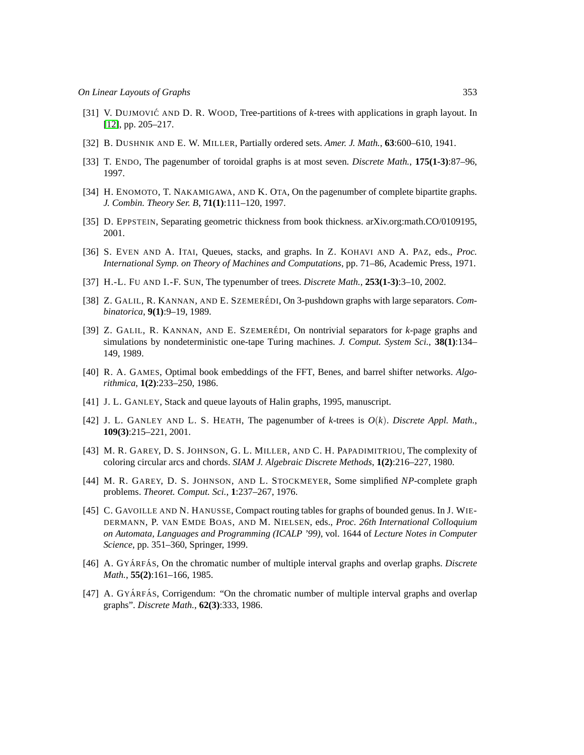- <span id="page-14-11"></span>[31] V. DUJMOVIĆ AND D. R. WOOD, Tree-partitions of *k*-trees with applications in graph layout. In [\[12\]](#page-12-14), pp. 205–217.
- <span id="page-14-15"></span>[32] B. DUSHNIK AND E. W. MILLER, Partially ordered sets. *Amer. J. Math.*, **63**:600–610, 1941.
- <span id="page-14-4"></span>[33] T. ENDO, The pagenumber of toroidal graphs is at most seven. *Discrete Math.*, **175(1-3)**:87–96, 1997.
- <span id="page-14-5"></span>[34] H. ENOMOTO, T. NAKAMIGAWA, AND K. OTA, On the pagenumber of complete bipartite graphs. *J. Combin. Theory Ser. B*, **71(1)**:111–120, 1997.
- <span id="page-14-6"></span>[35] D. EPPSTEIN, Separating geometric thickness from book thickness. arXiv.org:math.CO/0109195, 2001.
- <span id="page-14-0"></span>[36] S. EVEN AND A. ITAI, Queues, stacks, and graphs. In Z. KOHAVI AND A. PAZ, eds., *Proc. International Symp. on Theory of Machines and Computations*, pp. 71–86, Academic Press, 1971.
- <span id="page-14-7"></span>[37] H.-L. FU AND I.-F. SUN, The typenumber of trees. *Discrete Math.*, **253(1-3)**:3–10, 2002.
- <span id="page-14-1"></span>[38] Z. GALIL, R. KANNAN, AND E. SZEMERÉDI, On 3-pushdown graphs with large separators. *Combinatorica*, **9(1)**:9–19, 1989.
- <span id="page-14-2"></span>[39] Z. GALIL, R. KANNAN, AND E. SZEMERÉDI, On nontrivial separators for *k*-page graphs and simulations by nondeterministic one-tape Turing machines. *J. Comput. System Sci.*, **38(1)**:134– 149, 1989.
- <span id="page-14-8"></span>[40] R. A. GAMES, Optimal book embeddings of the FFT, Benes, and barrel shifter networks. *Algorithmica*, **1(2)**:233–250, 1986.
- <span id="page-14-10"></span>[41] J. L. GANLEY, Stack and queue layouts of Halin graphs, 1995, manuscript.
- <span id="page-14-9"></span>[42] J. L. GANLEY AND L. S. HEATH, The pagenumber of *k*-trees is *O*(*k*). *Discrete Appl. Math.*, **109(3)**:215–221, 2001.
- <span id="page-14-12"></span>[43] M. R. GAREY, D. S. JOHNSON, G. L. MILLER, AND C. H. PAPADIMITRIOU, The complexity of coloring circular arcs and chords. *SIAM J. Algebraic Discrete Methods*, **1(2)**:216–227, 1980.
- <span id="page-14-16"></span>[44] M. R. GAREY, D. S. JOHNSON, AND L. STOCKMEYER, Some simplified *NP*-complete graph problems. *Theoret. Comput. Sci.*, **1**:237–267, 1976.
- <span id="page-14-3"></span>[45] C. GAVOILLE AND N. HANUSSE, Compact routing tables for graphs of bounded genus. In J. WIE-DERMANN, P. VAN EMDE BOAS, AND M. NIELSEN, eds., *Proc. 26th International Colloquium on Automata, Languages and Programming (ICALP '99)*, vol. 1644 of *Lecture Notes in Computer Science*, pp. 351–360, Springer, 1999.
- <span id="page-14-13"></span>[46] A. GYÁRFÁS, On the chromatic number of multiple interval graphs and overlap graphs. *Discrete Math.*, **55(2)**:161–166, 1985.
- <span id="page-14-14"></span>[47] A. GYÁRFÁS, Corrigendum: "On the chromatic number of multiple interval graphs and overlap graphs". *Discrete Math.*, **62(3)**:333, 1986.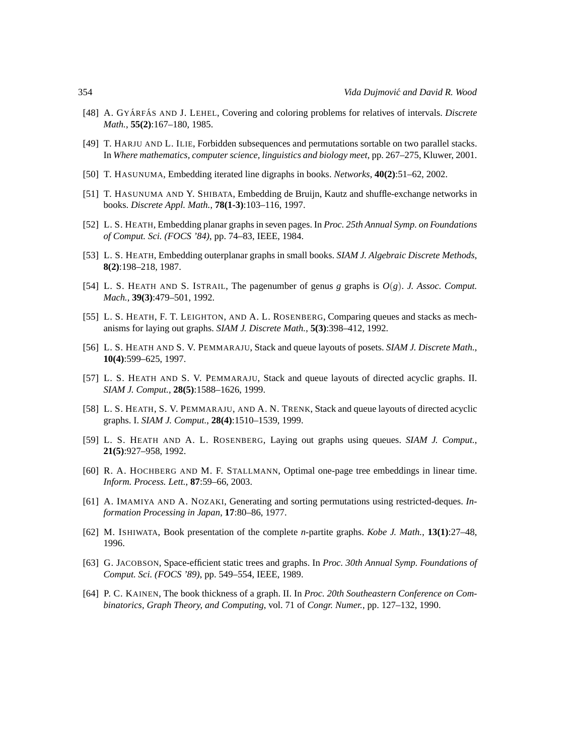- <span id="page-15-16"></span>[48] A. GYÁRFÁS AND J. LEHEL, Covering and coloring problems for relatives of intervals. *Discrete Math.*, **55(2)**:167–180, 1985.
- <span id="page-15-2"></span>[49] T. HARJU AND L. ILIE, Forbidden subsequences and permutations sortable on two parallel stacks. In *Where mathematics, computer science, linguistics and biology meet*, pp. 267–275, Kluwer, 2001.
- <span id="page-15-11"></span>[50] T. HASUNUMA, Embedding iterated line digraphs in books. *Networks*, **40(2)**:51–62, 2002.
- <span id="page-15-4"></span>[51] T. HASUNUMA AND Y. SHIBATA, Embedding de Bruijn, Kautz and shuffle-exchange networks in books. *Discrete Appl. Math.*, **78(1-3)**:103–116, 1997.
- <span id="page-15-5"></span>[52] L. S. HEATH, Embedding planar graphs in seven pages. In *Proc. 25th Annual Symp. on Foundations of Comput. Sci. (FOCS '84)*, pp. 74–83, IEEE, 1984.
- <span id="page-15-6"></span>[53] L. S. HEATH, Embedding outerplanar graphs in small books. *SIAM J. Algebraic Discrete Methods*, **8(2)**:198–218, 1987.
- <span id="page-15-7"></span>[54] L. S. HEATH AND S. ISTRAIL, The pagenumber of genus *g* graphs is *O*(*g*). *J. Assoc. Comput. Mach.*, **39(3)**:479–501, 1992.
- <span id="page-15-0"></span>[55] L. S. HEATH, F. T. LEIGHTON, AND A. L. ROSENBERG, Comparing queues and stacks as mechanisms for laying out graphs. *SIAM J. Discrete Math.*, **5(3)**:398–412, 1992.
- <span id="page-15-14"></span>[56] L. S. HEATH AND S. V. PEMMARAJU, Stack and queue layouts of posets. *SIAM J. Discrete Math.*, **10(4)**:599–625, 1997.
- <span id="page-15-12"></span>[57] L. S. HEATH AND S. V. PEMMARAJU, Stack and queue layouts of directed acyclic graphs. II. *SIAM J. Comput.*, **28(5)**:1588–1626, 1999.
- <span id="page-15-13"></span>[58] L. S. HEATH, S. V. PEMMARAJU, AND A. N. TRENK, Stack and queue layouts of directed acyclic graphs. I. *SIAM J. Comput.*, **28(4)**:1510–1539, 1999.
- <span id="page-15-1"></span>[59] L. S. HEATH AND A. L. ROSENBERG, Laying out graphs using queues. *SIAM J. Comput.*, **21(5)**:927–958, 1992.
- <span id="page-15-8"></span>[60] R. A. HOCHBERG AND M. F. STALLMANN, Optimal one-page tree embeddings in linear time. *Inform. Process. Lett.*, **87**:59–66, 2003.
- <span id="page-15-15"></span>[61] A. IMAMIYA AND A. NOZAKI, Generating and sorting permutations using restricted-deques. *Information Processing in Japan*, **17**:80–86, 1977.
- <span id="page-15-9"></span>[62] M. ISHIWATA, Book presentation of the complete *n*-partite graphs. *Kobe J. Math.*, **13(1)**:27–48, 1996.
- <span id="page-15-3"></span>[63] G. JACOBSON, Space-efficient static trees and graphs. In *Proc. 30th Annual Symp. Foundations of Comput. Sci. (FOCS '89)*, pp. 549–554, IEEE, 1989.
- <span id="page-15-10"></span>[64] P. C. KAINEN, The book thickness of a graph. II. In *Proc. 20th Southeastern Conference on Combinatorics, Graph Theory, and Computing*, vol. 71 of *Congr. Numer.*, pp. 127–132, 1990.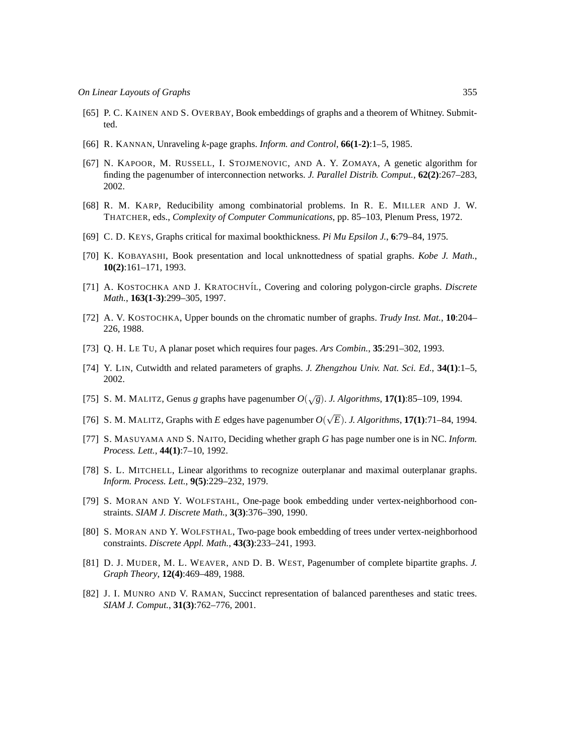- <span id="page-16-2"></span>[65] P. C. KAINEN AND S. OVERBAY, Book embeddings of graphs and a theorem of Whitney. Submitted.
- <span id="page-16-0"></span>[66] R. KANNAN, Unraveling *k*-page graphs. *Inform. and Control*, **66(1-2)**:1–5, 1985.
- <span id="page-16-3"></span>[67] N. KAPOOR, M. RUSSELL, I. STOJMENOVIC, AND A. Y. ZOMAYA, A genetic algorithm for finding the pagenumber of interconnection networks. *J. Parallel Distrib. Comput.*, **62(2)**:267–283, 2002.
- <span id="page-16-17"></span>[68] R. M. KARP, Reducibility among combinatorial problems. In R. E. MILLER AND J. W. THATCHER, eds., *Complexity of Computer Communications*, pp. 85–103, Plenum Press, 1972.
- <span id="page-16-4"></span>[69] C. D. KEYS, Graphs critical for maximal bookthickness. *Pi Mu Epsilon J.*, **6**:79–84, 1975.
- <span id="page-16-5"></span>[70] K. KOBAYASHI, Book presentation and local unknottedness of spatial graphs. *Kobe J. Math.*, **10(2)**:161–171, 1993.
- <span id="page-16-14"></span>[71] A. KOSTOCHKA AND J. KRATOCHV´IL, Covering and coloring polygon-circle graphs. *Discrete Math.*, **163(1-3)**:299–305, 1997.
- <span id="page-16-15"></span>[72] A. V. KOSTOCHKA, Upper bounds on the chromatic number of graphs. *Trudy Inst. Mat.*, **10**:204– 226, 1988.
- <span id="page-16-13"></span>[73] Q. H. LE TU, A planar poset which requires four pages. *Ars Combin.*, **35**:291–302, 1993.
- <span id="page-16-6"></span>[74] Y. LIN, Cutwidth and related parameters of graphs. *J. Zhengzhou Univ. Nat. Sci. Ed.*, **34(1)**:1–5, 2002.
- <span id="page-16-7"></span>[75] S. M. MALITZ, Genus *g* graphs have pagenumber  $O(\sqrt{g})$ . *J. Algorithms*, **17(1)**:85–109, 1994.
- <span id="page-16-8"></span>[76] S. M. MALITZ, Graphs with *E* edges have pagenumber  $O(\sqrt{E})$ . *J. Algorithms*, **17(1)**:71–84, 1994.
- <span id="page-16-9"></span>[77] S. MASUYAMA AND S. NAITO, Deciding whether graph *G* has page number one is in NC. *Inform. Process. Lett.*, **44(1)**:7–10, 1992.
- <span id="page-16-16"></span>[78] S. L. MITCHELL, Linear algorithms to recognize outerplanar and maximal outerplanar graphs. *Inform. Process. Lett.*, **9(5)**:229–232, 1979.
- <span id="page-16-10"></span>[79] S. MORAN AND Y. WOLFSTAHL, One-page book embedding under vertex-neighborhood constraints. *SIAM J. Discrete Math.*, **3(3)**:376–390, 1990.
- <span id="page-16-11"></span>[80] S. MORAN AND Y. WOLFSTHAL, Two-page book embedding of trees under vertex-neighborhood constraints. *Discrete Appl. Math.*, **43(3)**:233–241, 1993.
- <span id="page-16-12"></span>[81] D. J. MUDER, M. L. WEAVER, AND D. B. WEST, Pagenumber of complete bipartite graphs. *J. Graph Theory*, **12(4)**:469–489, 1988.
- <span id="page-16-1"></span>[82] J. I. MUNRO AND V. RAMAN, Succinct representation of balanced parentheses and static trees. *SIAM J. Comput.*, **31(3)**:762–776, 2001.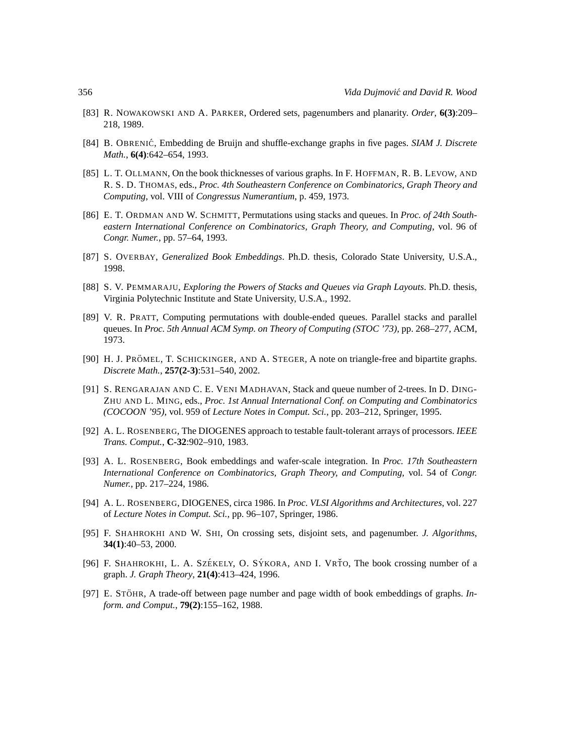- <span id="page-17-12"></span>[83] R. NOWAKOWSKI AND A. PARKER, Ordered sets, pagenumbers and planarity. *Order*, **6(3)**:209– 218, 1989.
- <span id="page-17-6"></span>[84] B. OBRENIC´, Embedding de Bruijn and shuffle-exchange graphs in five pages. *SIAM J. Discrete Math.*, **6(4)**:642–654, 1993.
- <span id="page-17-0"></span>[85] L. T. OLLMANN, On the book thicknesses of various graphs. In F. HOFFMAN, R. B. LEVOW, AND R. S. D. THOMAS, eds., *Proc. 4th Southeastern Conference on Combinatorics, Graph Theory and Computing*, vol. VIII of *Congressus Numerantium*, p. 459, 1973.
- <span id="page-17-1"></span>[86] E. T. ORDMAN AND W. SCHMITT, Permutations using stacks and queues. In *Proc. of 24th Southeastern International Conference on Combinatorics, Graph Theory, and Computing*, vol. 96 of *Congr. Numer.*, pp. 57–64, 1993.
- <span id="page-17-13"></span>[87] S. OVERBAY, *Generalized Book Embeddings*. Ph.D. thesis, Colorado State University, U.S.A., 1998.
- <span id="page-17-7"></span>[88] S. V. PEMMARAJU, *Exploring the Powers of Stacks and Queues via Graph Layouts*. Ph.D. thesis, Virginia Polytechnic Institute and State University, U.S.A., 1992.
- <span id="page-17-2"></span>[89] V. R. PRATT, Computing permutations with double-ended queues. Parallel stacks and parallel queues. In *Proc. 5th Annual ACM Symp. on Theory of Computing (STOC '73)*, pp. 268–277, ACM, 1973.
- <span id="page-17-14"></span>[90] H. J. PRÖMEL, T. SCHICKINGER, AND A. STEGER, A note on triangle-free and bipartite graphs. *Discrete Math.*, **257(2-3)**:531–540, 2002.
- <span id="page-17-8"></span>[91] S. RENGARAJAN AND C. E. VENI MADHAVAN, Stack and queue number of 2-trees. In D. DING-ZHU AND L. MING, eds., *Proc. 1st Annual International Conf. on Computing and Combinatorics (COCOON '95)*, vol. 959 of *Lecture Notes in Comput. Sci.*, pp. 203–212, Springer, 1995.
- <span id="page-17-3"></span>[92] A. L. ROSENBERG, The DIOGENES approach to testable fault-tolerant arrays of processors. *IEEE Trans. Comput.*, **C-32**:902–910, 1983.
- <span id="page-17-4"></span>[93] A. L. ROSENBERG, Book embeddings and wafer-scale integration. In *Proc. 17th Southeastern International Conference on Combinatorics, Graph Theory, and Computing*, vol. 54 of *Congr. Numer.*, pp. 217–224, 1986.
- <span id="page-17-5"></span>[94] A. L. ROSENBERG, DIOGENES, circa 1986. In *Proc. VLSI Algorithms and Architectures*, vol. 227 of *Lecture Notes in Comput. Sci.*, pp. 96–107, Springer, 1986.
- <span id="page-17-9"></span>[95] F. SHAHROKHI AND W. SHI, On crossing sets, disjoint sets, and pagenumber. *J. Algorithms*, **34(1)**:40–53, 2000.
- <span id="page-17-10"></span>[96] F. SHAHROKHI, L. A. SZÉKELY, O. SÝKORA, AND I. VRŤO, The book crossing number of a graph. *J. Graph Theory*, **21(4)**:413–424, 1996.
- <span id="page-17-11"></span>[97] E. STÖHR, A trade-off between page number and page width of book embeddings of graphs. *Inform. and Comput.*, **79(2)**:155–162, 1988.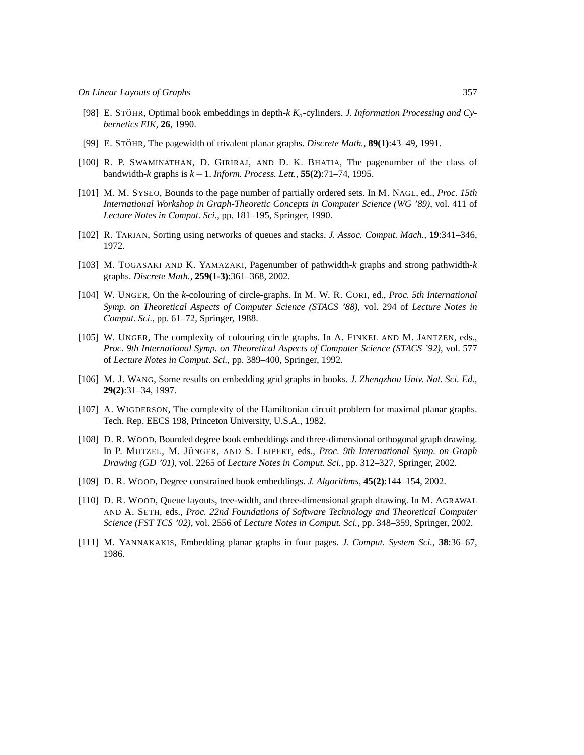- <span id="page-18-3"></span>[98] E. STÖHR, Optimal book embeddings in depth-*k K<sub>n</sub>*-cylinders. *J. Information Processing and Cybernetics EIK*, **26**, 1990.
- <span id="page-18-4"></span>[99] E. STÖHR, The pagewidth of trivalent planar graphs. *Discrete Math.*, **89(1)**:43–49, 1991.
- <span id="page-18-5"></span>[100] R. P. SWAMINATHAN, D. GIRIRAJ, AND D. K. BHATIA, The pagenumber of the class of bandwidth-*k* graphs is *k* −1. *Inform. Process. Lett.*, **55(2)**:71–74, 1995.
- <span id="page-18-9"></span>[101] M. M. SYSŁO, Bounds to the page number of partially ordered sets. In M. NAGL, ed., *Proc. 15th International Workshop in Graph-Theoretic Concepts in Computer Science (WG '89)*, vol. 411 of *Lecture Notes in Comput. Sci.*, pp. 181–195, Springer, 1990.
- <span id="page-18-0"></span>[102] R. TARJAN, Sorting using networks of queues and stacks. *J. Assoc. Comput. Mach.*, **19**:341–346, 1972.
- <span id="page-18-6"></span>[103] M. TOGASAKI AND K. YAMAZAKI, Pagenumber of pathwidth-*k* graphs and strong pathwidth-*k* graphs. *Discrete Math.*, **259(1-3)**:361–368, 2002.
- <span id="page-18-11"></span>[104] W. UNGER, On the *k*-colouring of circle-graphs. In M. W. R. CORI, ed., *Proc. 5th International Symp. on Theoretical Aspects of Computer Science (STACS '88)*, vol. 294 of *Lecture Notes in Comput. Sci.*, pp. 61–72, Springer, 1988.
- <span id="page-18-12"></span>[105] W. UNGER, The complexity of colouring circle graphs. In A. FINKEL AND M. JANTZEN, eds., *Proc. 9th International Symp. on Theoretical Aspects of Computer Science (STACS '92)*, vol. 577 of *Lecture Notes in Comput. Sci.*, pp. 389–400, Springer, 1992.
- <span id="page-18-7"></span>[106] M. J. WANG, Some results on embedding grid graphs in books. *J. Zhengzhou Univ. Nat. Sci. Ed.*, **29(2)**:31–34, 1997.
- <span id="page-18-13"></span>[107] A. WIGDERSON, The complexity of the Hamiltonian circuit problem for maximal planar graphs. Tech. Rep. EECS 198, Princeton University, U.S.A., 1982.
- <span id="page-18-1"></span>[108] D. R. WOOD, Bounded degree book embeddings and three-dimensional orthogonal graph drawing. In P. MUTZEL, M. JÜNGER, AND S. LEIPERT, eds., *Proc. 9th International Symp. on Graph Drawing (GD '01)*, vol. 2265 of *Lecture Notes in Comput. Sci.*, pp. 312–327, Springer, 2002.
- <span id="page-18-2"></span>[109] D. R. WOOD, Degree constrained book embeddings. *J. Algorithms*, **45(2)**:144–154, 2002.
- <span id="page-18-10"></span>[110] D. R. WOOD, Queue layouts, tree-width, and three-dimensional graph drawing. In M. AGRAWAL AND A. SETH, eds., *Proc. 22nd Foundations of Software Technology and Theoretical Computer Science (FST TCS '02)*, vol. 2556 of *Lecture Notes in Comput. Sci.*, pp. 348–359, Springer, 2002.
- <span id="page-18-8"></span>[111] M. YANNAKAKIS, Embedding planar graphs in four pages. *J. Comput. System Sci.*, **38**:36–67, 1986.